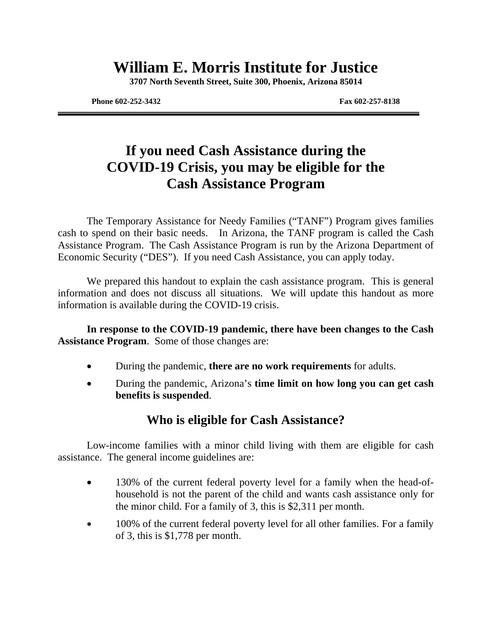# **William E. Morris Institute for Justice**

**3707 North Seventh Street, Suite 300, Phoenix, Arizona 85014**

**Phone 602-252-3432 Fax 602-257-8138** 

# **If you need Cash Assistance during the COVID-19 Crisis, you may be eligible for the Cash Assistance Program**

The Temporary Assistance for Needy Families ("TANF") Program gives families cash to spend on their basic needs. In Arizona, the TANF program is called the Cash Assistance Program. The Cash Assistance Program is run by the Arizona Department of Economic Security ("DES"). If you need Cash Assistance, you can apply today.

We prepared this handout to explain the cash assistance program. This is general information and does not discuss all situations. We will update this handout as more information is available during the COVID-19 crisis.

**In response to the COVID-19 pandemic, there have been changes to the Cash Assistance Program**. Some of those changes are:

- During the pandemic, **there are no work requirements** for adults.
- During the pandemic, Arizona's **time limit on how long you can get cash benefits is suspended**.

### **Who is eligible for Cash Assistance?**

Low-income families with a minor child living with them are eligible for cash assistance. The general income guidelines are:

- 130% of the current federal poverty level for a family when the head-ofhousehold is not the parent of the child and wants cash assistance only for the minor child. For a family of 3, this is \$2,311 per month.
- 100% of the current federal poverty level for all other families. For a family of 3, this is \$1,778 per month.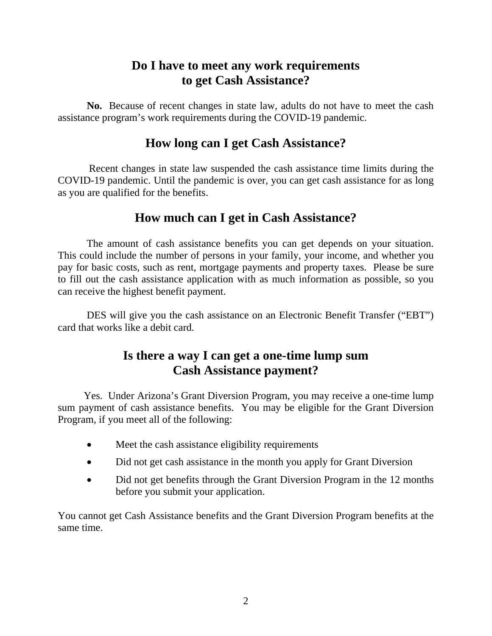### **Do I have to meet any work requirements to get Cash Assistance?**

**No.** Because of recent changes in state law, adults do not have to meet the cash assistance program's work requirements during the COVID-19 pandemic.

#### **How long can I get Cash Assistance?**

 Recent changes in state law suspended the cash assistance time limits during the COVID-19 pandemic. Until the pandemic is over, you can get cash assistance for as long as you are qualified for the benefits.

### **How much can I get in Cash Assistance?**

The amount of cash assistance benefits you can get depends on your situation. This could include the number of persons in your family, your income, and whether you pay for basic costs, such as rent, mortgage payments and property taxes. Please be sure to fill out the cash assistance application with as much information as possible, so you can receive the highest benefit payment.

DES will give you the cash assistance on an Electronic Benefit Transfer ("EBT") card that works like a debit card.

### **Is there a way I can get a one-time lump sum Cash Assistance payment?**

 Yes. Under Arizona's Grant Diversion Program, you may receive a one-time lump sum payment of cash assistance benefits. You may be eligible for the Grant Diversion Program, if you meet all of the following:

- Meet the cash assistance eligibility requirements
- Did not get cash assistance in the month you apply for Grant Diversion
- Did not get benefits through the Grant Diversion Program in the 12 months before you submit your application.

You cannot get Cash Assistance benefits and the Grant Diversion Program benefits at the same time.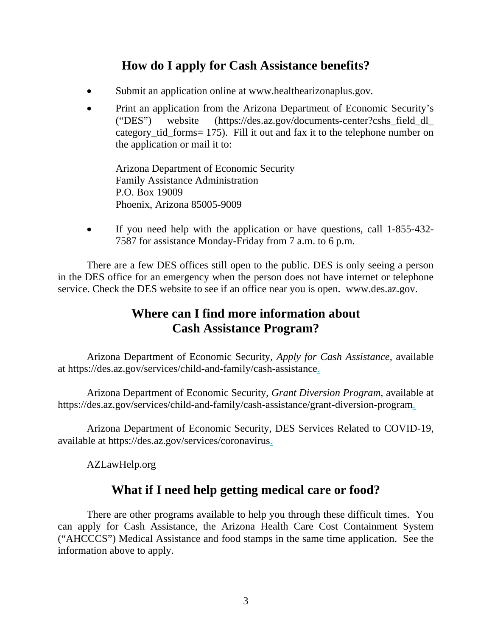### **How do I apply for Cash Assistance benefits?**

- Submit an application online at www.healthearizonaplus.gov.
- Print an application from the Arizona Department of Economic Security's ("DES") website (https://des.az.gov/documents-center?cshs\_field\_dl\_ category\_tid\_forms= 175). Fill it out and fax it to the telephone number on the application or mail it to:

Arizona Department of Economic Security Family Assistance Administration P.O. Box 19009 Phoenix, Arizona 85005-9009

• If you need help with the application or have questions, call 1-855-432-7587 for assistance Monday-Friday from 7 a.m. to 6 p.m.

There are a few DES offices still open to the public. DES is only seeing a person in the DES office for an emergency when the person does not have internet or telephone service. Check the DES website to see if an office near you is open. www.des.az.gov.

### **Where can I find more information about Cash Assistance Program?**

Arizona Department of Economic Security, *Apply for Cash Assistance*, available at https://des.az.gov/services/child-and-family/cash-assistance.

Arizona Department of Economic Security, *Grant Diversion Program,* available at https://des.az.gov/services/child-and-family/cash-assistance/grant-diversion-program.

Arizona Department of Economic Security, DES Services Related to COVID-19, available at https://des.az.gov/services/coronavirus.

AZLawHelp.org

#### **What if I need help getting medical care or food?**

There are other programs available to help you through these difficult times. You can apply for Cash Assistance, the Arizona Health Care Cost Containment System ("AHCCCS") Medical Assistance and food stamps in the same time application. See the information above to apply.